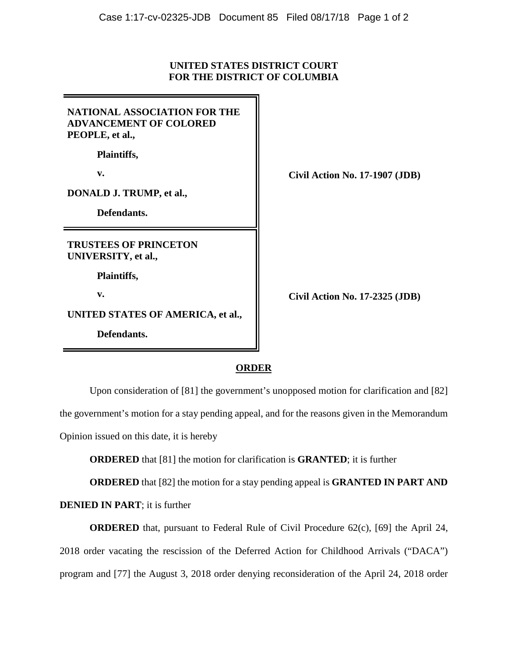## **UNITED STATES DISTRICT COURT FOR THE DISTRICT OF COLUMBIA**

| <b>NATIONAL ASSOCIATION FOR THE</b><br><b>ADVANCEMENT OF COLORED</b><br>PEOPLE, et al., |  |
|-----------------------------------------------------------------------------------------|--|
| Plaintiffs,                                                                             |  |
| v.                                                                                      |  |
| DONALD J. TRUMP, et al.,                                                                |  |
| Defendants.                                                                             |  |
|                                                                                         |  |
| <b>TRUSTEES OF PRINCETON</b><br>UNIVERSITY, et al.,                                     |  |
| Plaintiffs,                                                                             |  |
| v.                                                                                      |  |
| UNITED STATES OF AMERICA, et al.,                                                       |  |

**v. Civil Action No. 17-1907 (JDB)**

**v. Civil Action No. 17-2325 (JDB)**

## **ORDER**

Upon consideration of [81] the government's unopposed motion for clarification and [82] the government's motion for a stay pending appeal, and for the reasons given in the Memorandum Opinion issued on this date, it is hereby

**ORDERED** that [81] the motion for clarification is **GRANTED**; it is further

**ORDERED** that [82] the motion for a stay pending appeal is **GRANTED IN PART AND** 

## **DENIED IN PART**; it is further

**ORDERED** that, pursuant to Federal Rule of Civil Procedure 62(c), [69] the April 24, 2018 order vacating the rescission of the Deferred Action for Childhood Arrivals ("DACA") program and [77] the August 3, 2018 order denying reconsideration of the April 24, 2018 order